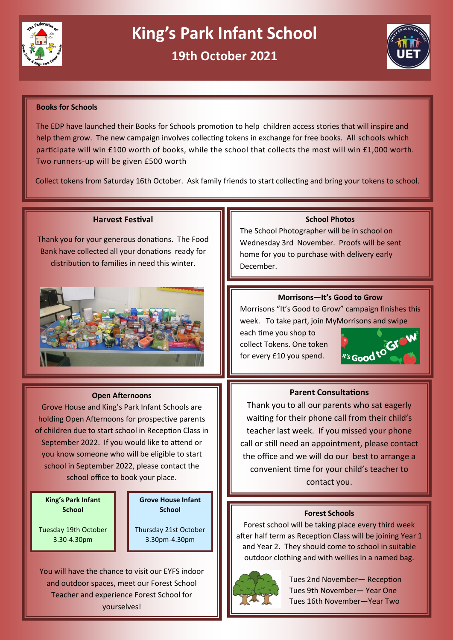



## **Books for Schools**

The EDP have launched their Books for Schools promotion to help children access stories that will inspire and help them grow. The new campaign involves collecting tokens in exchange for free books. All schools which participate will win £100 worth of books, while the school that collects the most will win £1,000 worth. Two runners-up will be given £500 worth

Collect tokens from Saturday 16th October. Ask family friends to start collecting and bring your tokens to school.

## **Harvest Festival**

Thank you for your generous donations. The Food Bank have collected all your donations ready for distribution to families in need this winter.



#### **Open Afternoons**

Grove House and King's Park Infant Schools are holding Open Afternoons for prospective parents of children due to start school in Reception Class in September 2022. If you would like to attend or you know someone who will be eligible to start school in September 2022, please contact the school office to book your place.

**King's Park Infant School**

Tuesday 19th October 3.30-4.30pm

**Grove House Infant School**

Thursday 21st October 3.30pm-4.30pm

You will have the chance to visit our EYFS indoor and outdoor spaces, meet our Forest School Teacher and experience Forest School for yourselves!

# **School Photos**

The School Photographer will be in school on Wednesday 3rd November. Proofs will be sent home for you to purchase with delivery early December.

## **Morrisons—It's Good to Grow**

Morrisons "It's Good to Grow" campaign finishes this week. To take part, join MyMorrisons and swipe

each time you shop to collect Tokens. One token for every £10 you spend.



# **Parent Consultations**

Thank you to all our parents who sat eagerly waiting for their phone call from their child's teacher last week. If you missed your phone call or still need an appointment, please contact the office and we will do our best to arrange a convenient time for your child's teacher to contact you.

#### **Forest Schools**

Forest school will be taking place every third week after half term as Reception Class will be joining Year 1 and Year 2. They should come to school in suitable outdoor clothing and with wellies in a named bag.



Tues 2nd November— Reception Tues 9th November— Year One Tues 16th November—Year Two